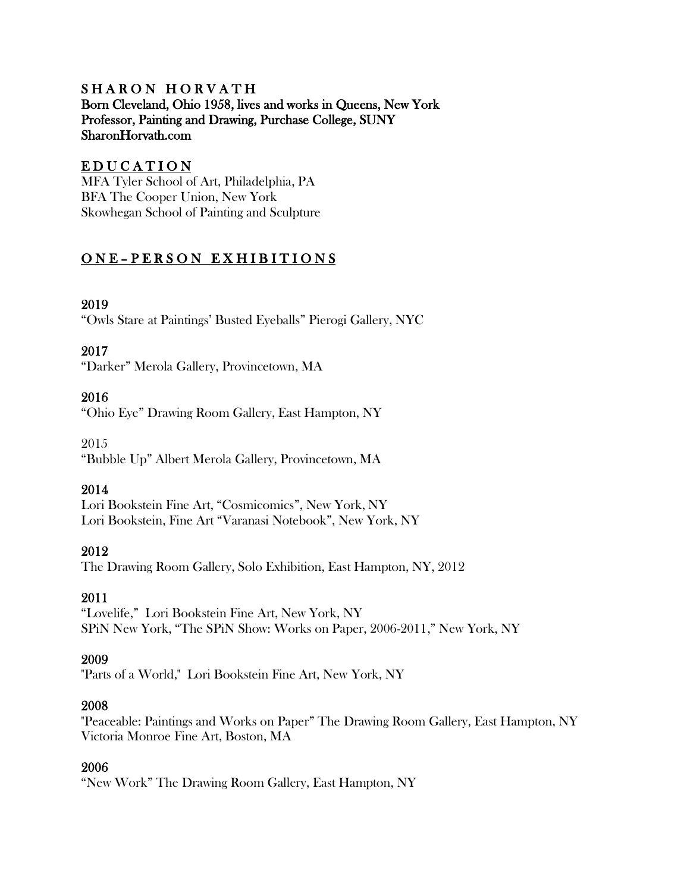### SHARON HORVATH Born Cleveland, Ohio 1958, lives and works in Queens, New York Professor, Painting and Drawing, Purchase College, SUNY SharonHorvath.com

## EDUCATION

MFA Tyler School of Art, Philadelphia, PA BFA The Cooper Union, New York Skowhegan School of Painting and Sculpture

# ONE-PERSON EXHIBITIONS

## 2019

"Owls Stare at Paintings' Busted Eyeballs" Pierogi Gallery, NYC

### 2017

"Darker" Merola Gallery, Provincetown, MA

### 2016

"Ohio Eye" Drawing Room Gallery, East Hampton, NY

2015 "Bubble Up" Albert Merola Gallery, Provincetown, MA

### 2014

Lori Bookstein Fine Art, "Cosmicomics", New York, NY Lori Bookstein, Fine Art "Varanasi Notebook", New York, NY

### 2012

The Drawing Room Gallery, Solo Exhibition, East Hampton, NY, 2012

### 2011

"Lovelife," Lori Bookstein Fine Art, New York, NY SPiN New York, "The SPiN Show: Works on Paper, 2006-2011," New York, NY

### 2009

"Parts of a World," Lori Bookstein Fine Art, New York, NY

### 2008

"Peaceable: Paintings and Works on Paper" The Drawing Room Gallery, East Hampton, NY Victoria Monroe Fine Art, Boston, MA

### 2006

"New Work" The Drawing Room Gallery, East Hampton, NY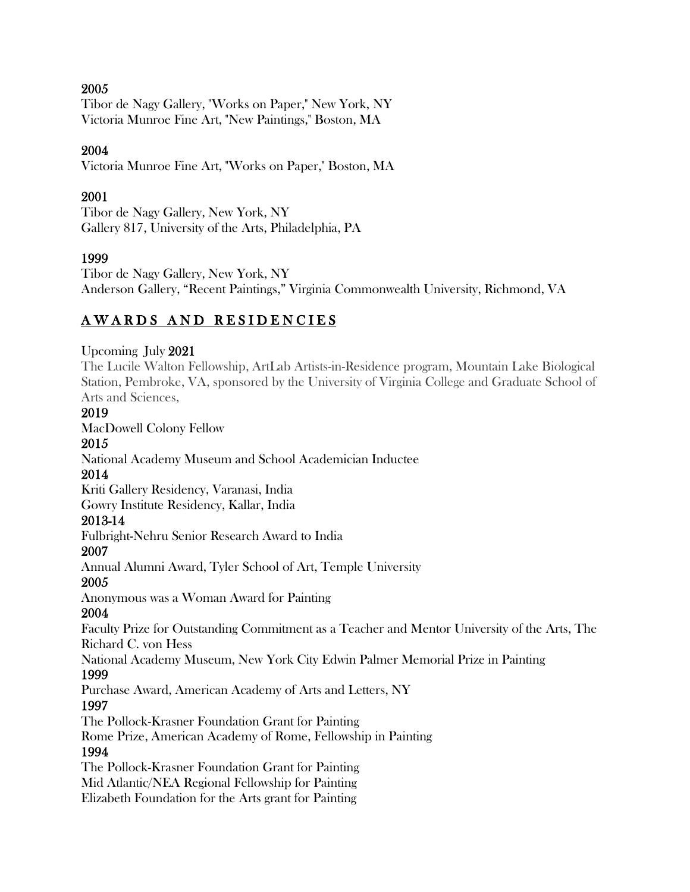### 2005

Tibor de Nagy Gallery, "Works on Paper," New York, NY Victoria Munroe Fine Art, "New Paintings," Boston, MA

### 2004

Victoria Munroe Fine Art, "Works on Paper," Boston, MA

### 2001

Tibor de Nagy Gallery, New York, NY Gallery 817, University of the Arts, Philadelphia, PA

### 1999

Tibor de Nagy Gallery, New York, NY Anderson Gallery, "Recent Paintings," Virginia Commonwealth University, Richmond, VA

# **AWARDS AND RESIDENCIES**

#### Upcoming July 2021

The Lucile Walton Fellowship, ArtLab Artists-in-Residence program, Mountain Lake Biological Station, Pembroke, VA, sponsored by the University of Virginia College and Graduate School of Arts and Sciences,

### 2019

MacDowell Colony Fellow

# 2015

National Academy Museum and School Academician Inductee

### 2014

Kriti Gallery Residency, Varanasi, India Gowry Institute Residency, Kallar, India

### 2013-14

Fulbright-Nehru Senior Research Award to India

#### 2007

Annual Alumni Award, Tyler School of Art, Temple University

#### 2005

Anonymous was a Woman Award for Painting

#### 2004

Faculty Prize for Outstanding Commitment as a Teacher and Mentor University of the Arts, The Richard C. von Hess

National Academy Museum, New York City Edwin Palmer Memorial Prize in Painting

### 1999

Purchase Award, American Academy of Arts and Letters, NY

### 1997

The Pollock-Krasner Foundation Grant for Painting

Rome Prize, American Academy of Rome, Fellowship in Painting

### 1994

The Pollock-Krasner Foundation Grant for Painting Mid Atlantic/NEA Regional Fellowship for Painting Elizabeth Foundation for the Arts grant for Painting